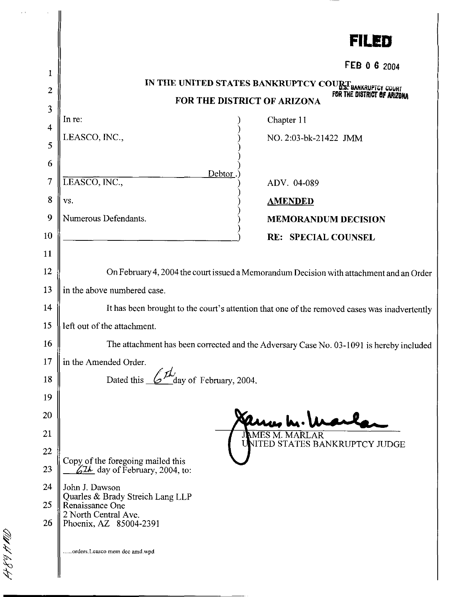|                  |                                                                                              | FILED                                                  |  |
|------------------|----------------------------------------------------------------------------------------------|--------------------------------------------------------|--|
|                  |                                                                                              | FEB 0 6 2004                                           |  |
| 1                |                                                                                              | IN THE UNITED STATES BANKRUPTCY COURT BANKRUPTCY COURT |  |
| $\boldsymbol{2}$ | FOR THE DISTRICT OF ARIZON<br>FOR THE DISTRICT OF ARIZONA                                    |                                                        |  |
| 3                | In re:                                                                                       | Chapter 11                                             |  |
| 4                | LEASCO, INC.,                                                                                | NO. 2:03-bk-21422 JMM                                  |  |
| 5                |                                                                                              |                                                        |  |
| 6                | Debtor                                                                                       |                                                        |  |
| $\tau$           | LEASCO, INC.,                                                                                | ADV. 04-089                                            |  |
| 8                | VS.                                                                                          | <b>AMENDED</b>                                         |  |
| 9                | Numerous Defendants.                                                                         | <b>MEMORANDUM DECISION</b>                             |  |
| 10               |                                                                                              | <b>RE: SPECIAL COUNSEL</b>                             |  |
| 11               |                                                                                              |                                                        |  |
| 12               | On February 4, 2004 the court issued a Memorandum Decision with attachment and an Order      |                                                        |  |
| 13               | in the above numbered case.                                                                  |                                                        |  |
| 14               | It has been brought to the court's attention that one of the removed cases was inadvertently |                                                        |  |
| 15               | left out of the attachment.                                                                  |                                                        |  |
| 16               | The attachment has been corrected and the Adversary Case No. 03-1091 is hereby included      |                                                        |  |
| 17               | in the Amended Order.                                                                        |                                                        |  |
| 18               | Dated this<br>day of February, 2004.                                                         |                                                        |  |
| 19               |                                                                                              |                                                        |  |
| 20               |                                                                                              |                                                        |  |
| 21               |                                                                                              | <b>JAMES M. MARLAR</b>                                 |  |
| $22\,$           |                                                                                              | UNITED STATES BANKRUPTCY JUDGE                         |  |
| 23               | Copy of the foregoing mailed this<br>$62\mu$ day of February, 2004, to:                      |                                                        |  |
| 24               | John J. Dawson                                                                               |                                                        |  |
| 25               | Quarles & Brady Streich Lang LLP<br>Renaissance One                                          |                                                        |  |
| 26               | 2 North Central Ave.<br>Phoenix, AZ 85004-2391                                               |                                                        |  |
| コインイング           | .orders.Leasco mem dec amd.wpd                                                               |                                                        |  |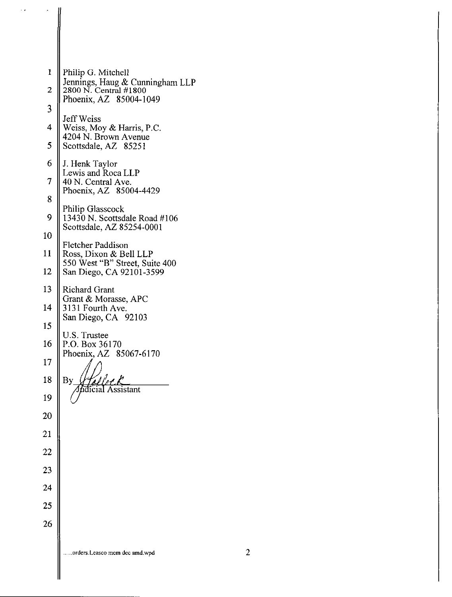

τ,